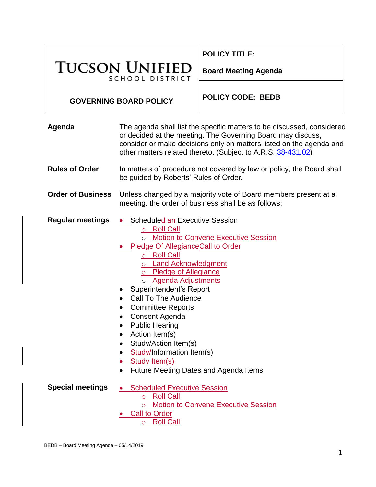|                                          |                                                                                                                                                                                                                                                                                                                                                                                                                                                                                                                                | <b>POLICY TITLE:</b>        |
|------------------------------------------|--------------------------------------------------------------------------------------------------------------------------------------------------------------------------------------------------------------------------------------------------------------------------------------------------------------------------------------------------------------------------------------------------------------------------------------------------------------------------------------------------------------------------------|-----------------------------|
| <b>TUCSON UNIFIED</b><br>SCHOOL DISTRICT |                                                                                                                                                                                                                                                                                                                                                                                                                                                                                                                                | <b>Board Meeting Agenda</b> |
| <b>GOVERNING BOARD POLICY</b>            |                                                                                                                                                                                                                                                                                                                                                                                                                                                                                                                                | <b>POLICY CODE: BEDB</b>    |
| Agenda                                   | The agenda shall list the specific matters to be discussed, considered<br>or decided at the meeting. The Governing Board may discuss,<br>consider or make decisions only on matters listed on the agenda and<br>other matters related thereto. (Subject to A.R.S. 38-431.02)                                                                                                                                                                                                                                                   |                             |
| <b>Rules of Order</b>                    | In matters of procedure not covered by law or policy, the Board shall<br>be guided by Roberts' Rules of Order.                                                                                                                                                                                                                                                                                                                                                                                                                 |                             |
| <b>Order of Business</b>                 | Unless changed by a majority vote of Board members present at a<br>meeting, the order of business shall be as follows:                                                                                                                                                                                                                                                                                                                                                                                                         |                             |
| <b>Regular meetings</b>                  | • Scheduled an-Executive Session<br>o Roll Call<br>o Motion to Convene Executive Session<br>• Pledge Of Allegiance Call to Order<br>○ Roll Call<br>o Land Acknowledgment<br>o Pledge of Allegiance<br>o <b>Agenda Adjustments</b><br><b>Superintendent's Report</b><br><b>Call To The Audience</b><br><b>Committee Reports</b><br>Consent Agenda<br><b>Public Hearing</b><br>Action Item(s)<br>Study/Action Item(s)<br>$\bullet$<br>Study/Information Item(s)<br>Study Item(s)<br><b>Future Meeting Dates and Agenda Items</b> |                             |
| <b>Special meetings</b>                  | <b>Scheduled Executive Session</b><br>○ Roll Call<br><b>Motion to Convene Executive Session</b><br>$\circ$<br><b>Call to Order</b><br><u>o Roll Call</u>                                                                                                                                                                                                                                                                                                                                                                       |                             |

Τ

Г

Π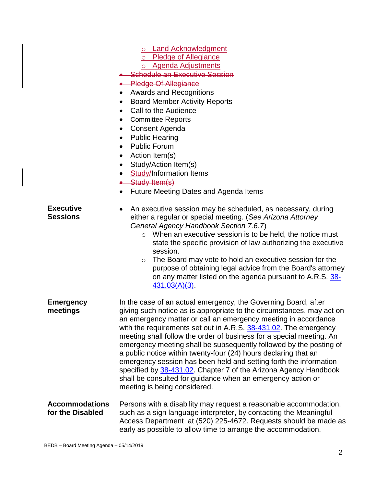- o Land Acknowledgment
- o Pledge of Allegiance
- o Agenda Adjustments
- **Schedule an Executive Session**
- **•** Pledge Of Allegiance
- Awards and Recognitions
- Board Member Activity Reports
- Call to the Audience
- Committee Reports
- Consent Agenda
- Public Hearing
- Public Forum
- Action Item(s)
- Study/Action Item(s)
- Study/Information Items
- Study Item(s)
- Future Meeting Dates and Agenda Items
- **Executive Sessions**
- An executive session may be scheduled, as necessary, during either a regular or special meeting. (*See Arizona Attorney General Agency Handbook Section 7.6.7*)
	- o When an executive session is to be held, the notice must state the specific provision of law authorizing the executive session.
	- o The Board may vote to hold an executive session for the purpose of obtaining legal advice from the Board's attorney on any matter listed on the agenda pursuant to A.R.S. [38-](https://www.azleg.gov/viewdocument/?docName=https://www.azleg.gov/ars/38/00431-03.htm) [431.03\(A\)\(3\).](https://www.azleg.gov/viewdocument/?docName=https://www.azleg.gov/ars/38/00431-03.htm)
- **Emergency meetings** In the case of an actual emergency, the Governing Board, after giving such notice as is appropriate to the circumstances, may act on an emergency matter or call an emergency meeting in accordance with the requirements set out in A.R.S. [38-431.02.](https://www.azleg.gov/viewdocument/?docName=https://www.azleg.gov/ars/38/00431-02.htm) The emergency meeting shall follow the order of business for a special meeting. An emergency meeting shall be subsequently followed by the posting of a public notice within twenty-four (24) hours declaring that an emergency session has been held and setting forth the information specified by [38-431.02.](https://www.azleg.gov/viewdocument/?docName=https://www.azleg.gov/ars/38/00431-02.htm) Chapter 7 of the Arizona Agency Handbook shall be consulted for guidance when an emergency action or meeting is being considered.
- **Accommodations for the Disabled** Persons with a disability may request a reasonable accommodation, such as a sign language interpreter, by contacting the Meaningful Access Department at (520) 225-4672. Requests should be made as early as possible to allow time to arrange the accommodation.